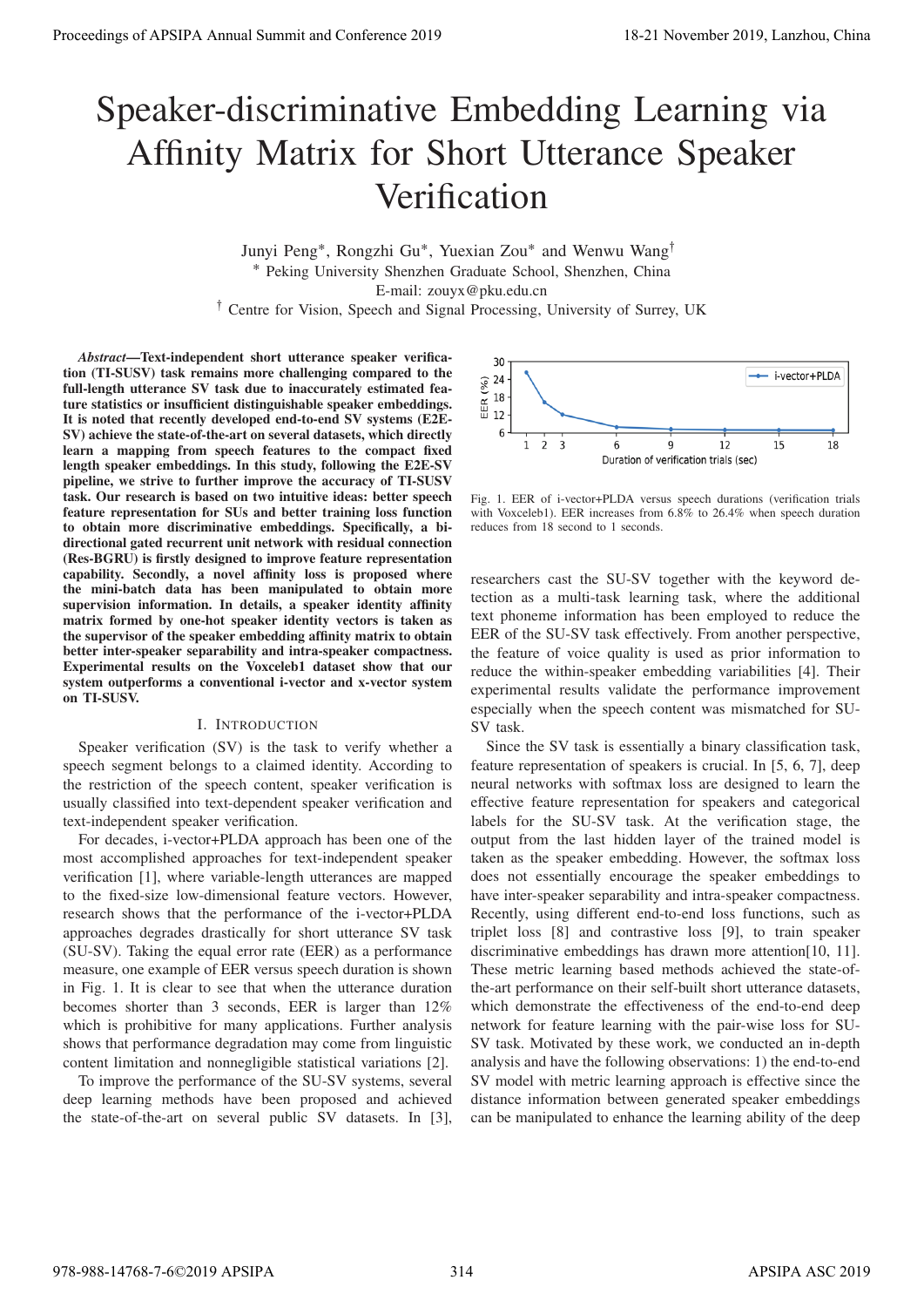# Speaker-discriminative Embedding Learning via Affinity Matrix for Short Utterance Speaker Verification

Junyi Peng˚, Rongzhi Gu˚, Yuexian Zou˚ and Wenwu Wang: ˚ Peking University Shenzhen Graduate School, Shenzhen, China E-mail: zouyx@pku.edu.cn <sup>†</sup> Centre for Vision, Speech and Signal Processing, University of Surrey, UK

*Abstract*—Text-independent short utterance speaker verification (TI-SUSV) task remains more challenging compared to the full-length utterance SV task due to inaccurately estimated feature statistics or insufficient distinguishable speaker embeddings. It is noted that recently developed end-to-end SV systems (E2E-SV) achieve the state-of-the-art on several datasets, which directly learn a mapping from speech features to the compact fixed length speaker embeddings. In this study, following the E2E-SV pipeline, we strive to further improve the accuracy of TI-SUSV task. Our research is based on two intuitive ideas: better speech feature representation for SUs and better training loss function to obtain more discriminative embeddings. Specifically, a bidirectional gated recurrent unit network with residual connection (Res-BGRU) is firstly designed to improve feature representation capability. Secondly, a novel affinity loss is proposed where the mini-batch data has been manipulated to obtain more supervision information. In details, a speaker identity affinity matrix formed by one-hot speaker identity vectors is taken as the supervisor of the speaker embedding affinity matrix to obtain better inter-speaker separability and intra-speaker compactness. Experimental results on the Voxceleb1 dataset show that our system outperforms a conventional i-vector and x-vector system on TI-SUSV.

## I. INTRODUCTION

Speaker verification (SV) is the task to verify whether a speech segment belongs to a claimed identity. According to the restriction of the speech content, speaker verification is usually classified into text-dependent speaker verification and text-independent speaker verification.

For decades, i-vector+PLDA approach has been one of the most accomplished approaches for text-independent speaker verification [1], where variable-length utterances are mapped to the fixed-size low-dimensional feature vectors. However, research shows that the performance of the i-vector+PLDA approaches degrades drastically for short utterance SV task (SU-SV). Taking the equal error rate (EER) as a performance measure, one example of EER versus speech duration is shown in Fig. 1. It is clear to see that when the utterance duration becomes shorter than 3 seconds, EER is larger than 12% which is prohibitive for many applications. Further analysis shows that performance degradation may come from linguistic content limitation and nonnegligible statistical variations [2].

To improve the performance of the SU-SV systems, several deep learning methods have been proposed and achieved the state-of-the-art on several public SV datasets. In [3],



Fig. 1. EER of i-vector+PLDA versus speech durations (verification trials with Voxceleb1). EER increases from 6.8% to 26.4% when speech duration reduces from 18 second to 1 seconds.

researchers cast the SU-SV together with the keyword detection as a multi-task learning task, where the additional text phoneme information has been employed to reduce the EER of the SU-SV task effectively. From another perspective, the feature of voice quality is used as prior information to reduce the within-speaker embedding variabilities [4]. Their experimental results validate the performance improvement especially when the speech content was mismatched for SU-SV task.

Since the SV task is essentially a binary classification task, feature representation of speakers is crucial. In [5, 6, 7], deep neural networks with softmax loss are designed to learn the effective feature representation for speakers and categorical labels for the SU-SV task. At the verification stage, the output from the last hidden layer of the trained model is taken as the speaker embedding. However, the softmax loss does not essentially encourage the speaker embeddings to have inter-speaker separability and intra-speaker compactness. Recently, using different end-to-end loss functions, such as triplet loss [8] and contrastive loss [9], to train speaker discriminative embeddings has drawn more attention[10, 11]. These metric learning based methods achieved the state-ofthe-art performance on their self-built short utterance datasets, which demonstrate the effectiveness of the end-to-end deep network for feature learning with the pair-wise loss for SU-SV task. Motivated by these work, we conducted an in-depth analysis and have the following observations: 1) the end-to-end SV model with metric learning approach is effective since the distance information between generated speaker embeddings can be manipulated to enhance the learning ability of the deep **Proceedings of APSIPA Annual Summit at Conference 2019**<br>
Specific Conference 2019<br>
Specific Conference 2019<br>
Annual Summit and Conference 2019<br>
Annual Summit and Conference 2019<br>
Annual Summit and Conference 2019<br>
Annual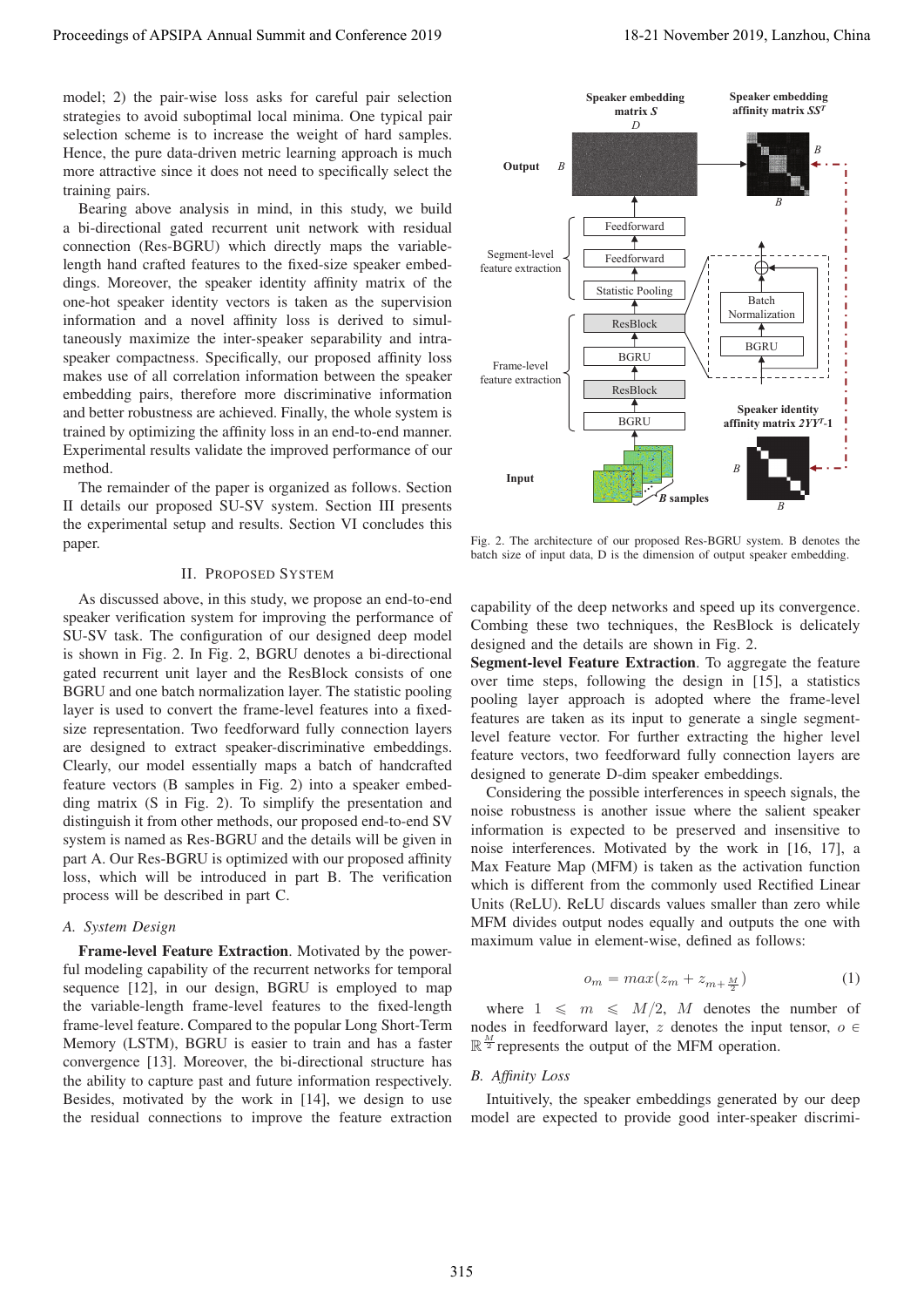model; 2) the pair-wise loss asks for careful pair selection strategies to avoid suboptimal local minima. One typical pair selection scheme is to increase the weight of hard samples. Hence, the pure data-driven metric learning approach is much more attractive since it does not need to specifically select the training pairs.

Bearing above analysis in mind, in this study, we build a bi-directional gated recurrent unit network with residual connection (Res-BGRU) which directly maps the variablelength hand crafted features to the fixed-size speaker embeddings. Moreover, the speaker identity affinity matrix of the one-hot speaker identity vectors is taken as the supervision information and a novel affinity loss is derived to simultaneously maximize the inter-speaker separability and intraspeaker compactness. Specifically, our proposed affinity loss makes use of all correlation information between the speaker embedding pairs, therefore more discriminative information and better robustness are achieved. Finally, the whole system is trained by optimizing the affinity loss in an end-to-end manner. Experimental results validate the improved performance of our method.

The remainder of the paper is organized as follows. Section II details our proposed SU-SV system. Section III presents the experimental setup and results. Section VI concludes this paper.

#### II. PROPOSED SYSTEM

As discussed above, in this study, we propose an end-to-end speaker verification system for improving the performance of SU-SV task. The configuration of our designed deep model is shown in Fig. 2. In Fig. 2, BGRU denotes a bi-directional gated recurrent unit layer and the ResBlock consists of one BGRU and one batch normalization layer. The statistic pooling layer is used to convert the frame-level features into a fixedsize representation. Two feedforward fully connection layers are designed to extract speaker-discriminative embeddings. Clearly, our model essentially maps a batch of handcrafted feature vectors (B samples in Fig. 2) into a speaker embedding matrix (S in Fig. 2). To simplify the presentation and distinguish it from other methods, our proposed end-to-end SV system is named as Res-BGRU and the details will be given in part A. Our Res-BGRU is optimized with our proposed affinity loss, which will be introduced in part B. The verification process will be described in part C.

## *A. System Design*

Frame-level Feature Extraction. Motivated by the powerful modeling capability of the recurrent networks for temporal sequence [12], in our design, BGRU is employed to map the variable-length frame-level features to the fixed-length frame-level feature. Compared to the popular Long Short-Term Memory (LSTM), BGRU is easier to train and has a faster convergence [13]. Moreover, the bi-directional structure has the ability to capture past and future information respectively. Besides, motivated by the work in [14], we design to use the residual connections to improve the feature extraction



Fig. 2. The architecture of our proposed Res-BGRU system. B denotes the batch size of input data, D is the dimension of output speaker embedding.

capability of the deep networks and speed up its convergence. Combing these two techniques, the ResBlock is delicately designed and the details are shown in Fig. 2.

Segment-level Feature Extraction. To aggregate the feature over time steps, following the design in [15], a statistics pooling layer approach is adopted where the frame-level features are taken as its input to generate a single segmentlevel feature vector. For further extracting the higher level feature vectors, two feedforward fully connection layers are designed to generate D-dim speaker embeddings.

Considering the possible interferences in speech signals, the noise robustness is another issue where the salient speaker information is expected to be preserved and insensitive to noise interferences. Motivated by the work in [16, 17], a Max Feature Map (MFM) is taken as the activation function which is different from the commonly used Rectified Linear Units (ReLU). ReLU discards values smaller than zero while MFM divides output nodes equally and outputs the one with maximum value in element-wise, defined as follows:

$$
o_m = max(z_m + z_{m + \frac{M}{2}})
$$
 (1)

where  $1 \leq m \leq M/2$ , M denotes the number of nodes in feedforward layer, z denotes the input tensor,  $o \in$  $\mathbb{R}^{\frac{M}{2}}$  represents the output of the MFM operation.

## *B. Affinity Loss*

Intuitively, the speaker embeddings generated by our deep model are expected to provide good inter-speaker discrimi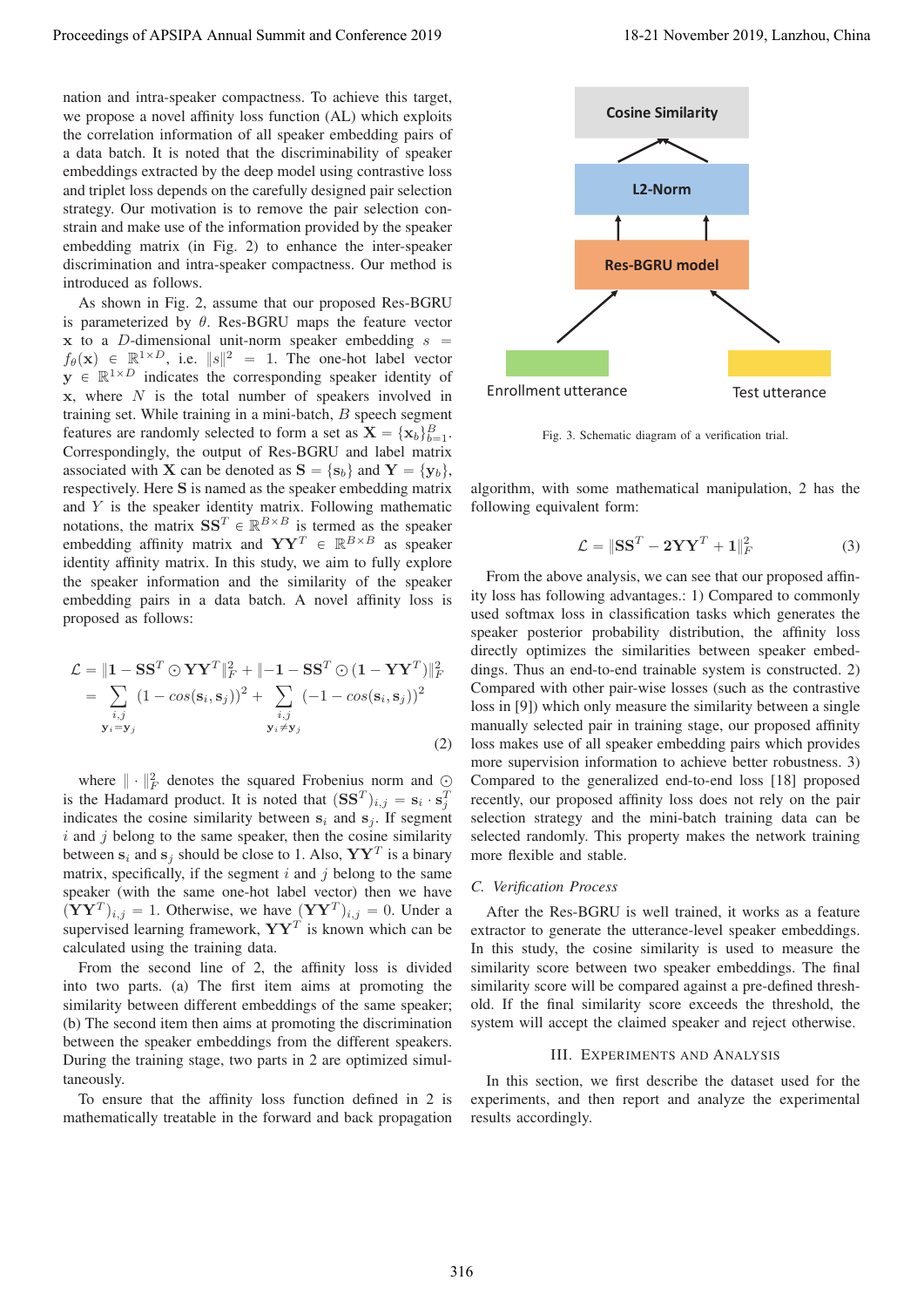nation and intra-speaker compactness. To achieve this target, we propose a novel affinity loss function (AL) which exploits the correlation information of all speaker embedding pairs of a data batch. It is noted that the discriminability of speaker embeddings extracted by the deep model using contrastive loss and triplet loss depends on the carefully designed pair selection strategy. Our motivation is to remove the pair selection constrain and make use of the information provided by the speaker embedding matrix (in Fig. 2) to enhance the inter-speaker discrimination and intra-speaker compactness. Our method is introduced as follows.

As shown in Fig. 2, assume that our proposed Res-BGRU is parameterized by  $\theta$ . Res-BGRU maps the feature vector **x** to a D-dimensional unit-norm speaker embedding  $s =$  $f_{\theta}(\mathbf{x}) \in \mathbb{R}^{1 \times D}$ , i.e.  $||s||^2 = 1$ . The one-hot label vector  $y \in \mathbb{R}^{1 \times D}$  indicates the corresponding speaker identity of **<sup>x</sup>**, where N is the total number of speakers involved in training set. While training in a mini-batch, B speech segment features are randomly selected to form a set as  $\mathbf{X} = {\mathbf{x}_b}_{b=1}^B$ . Correspondingly, the output of Res-BGRU and label matrix associated with **X** can be denoted as  $S = \{s_b\}$  and  $Y = \{y_b\}$ , respectively. Here **S** is named as the speaker embedding matrix and Y is the speaker identity matrix. Following mathematic notations, the matrix  $SS^T \in \mathbb{R}^{B \times B}$  is termed as the speaker embedding affinity matrix and  $\mathbf{Y}\mathbf{Y}^T \in \mathbb{R}^{B \times B}$  as speaker identity affinity matrix. In this study, we aim to fully explore the speaker information and the similarity of the speaker embedding pairs in a data batch. A novel affinity loss is proposed as follows:

$$
\mathcal{L} = \|\mathbf{1} - \mathbf{S}\mathbf{S}^T \odot \mathbf{Y}\mathbf{Y}^T\|_F^2 + \|\mathbf{-1} - \mathbf{S}\mathbf{S}^T \odot (\mathbf{1} - \mathbf{Y}\mathbf{Y}^T)\|_F^2
$$
  
= 
$$
\sum_{i,j} (1 - \cos(\mathbf{s}_i, \mathbf{s}_j))^2 + \sum_{i,j} (-1 - \cos(\mathbf{s}_i, \mathbf{s}_j))^2
$$
  

$$
\mathbf{y}_i = \mathbf{y}_j
$$
 (2)

where  $\|\cdot\|_F^2$  denotes the squared Frobenius norm and  $\odot$ is the Hadamard product. It is noted that  $(\mathbf{S}\mathbf{S}^T)_{i,j} = \mathbf{s}_i \cdot \mathbf{s}_j^T$ indicates the cosine similarity between  $s_i$  and  $s_j$ . If segment  $i$  and  $j$  belong to the same speaker, then the cosine similarity between  $\mathbf{s}_i$  and  $\mathbf{s}_j$  should be close to 1. Also,  $\mathbf{YY}^T$  is a binary matrix, specifically, if the segment  $i$  and  $j$  belong to the same speaker (with the same one-hot label vector) then we have  $(\mathbf{Y}\mathbf{Y}^T)_{i,j} = 1$ . Otherwise, we have  $(\mathbf{Y}\mathbf{Y}^T)_{i,j} = 0$ . Under a supervised learning framework, **YY**<sup>T</sup> is known which can be calculated using the training data.

From the second line of 2, the affinity loss is divided into two parts. (a) The first item aims at promoting the similarity between different embeddings of the same speaker; (b) The second item then aims at promoting the discrimination between the speaker embeddings from the different speakers. During the training stage, two parts in 2 are optimized simultaneously.

To ensure that the affinity loss function defined in 2 is mathematically treatable in the forward and back propagation



Fig. 3. Schematic diagram of a verification trial.

algorithm, with some mathematical manipulation, 2 has the following equivalent form:

$$
\mathcal{L} = \|\mathbf{S}\mathbf{S}^T - 2\mathbf{Y}\mathbf{Y}^T + \mathbf{1}\|_F^2 \tag{3}
$$

From the above analysis, we can see that our proposed affinity loss has following advantages.: 1) Compared to commonly used softmax loss in classification tasks which generates the speaker posterior probability distribution, the affinity loss directly optimizes the similarities between speaker embeddings. Thus an end-to-end trainable system is constructed. 2) Compared with other pair-wise losses (such as the contrastive loss in [9]) which only measure the similarity between a single manually selected pair in training stage, our proposed affinity loss makes use of all speaker embedding pairs which provides more supervision information to achieve better robustness. 3) Compared to the generalized end-to-end loss [18] proposed recently, our proposed affinity loss does not rely on the pair selection strategy and the mini-batch training data can be selected randomly. This property makes the network training more flexible and stable.

#### *C. Verification Process*

After the Res-BGRU is well trained, it works as a feature extractor to generate the utterance-level speaker embeddings. In this study, the cosine similarity is used to measure the similarity score between two speaker embeddings. The final similarity score will be compared against a pre-defined threshold. If the final similarity score exceeds the threshold, the system will accept the claimed speaker and reject otherwise.

#### III. EXPERIMENTS AND ANALYSIS

In this section, we first describe the dataset used for the experiments, and then report and analyze the experimental results accordingly.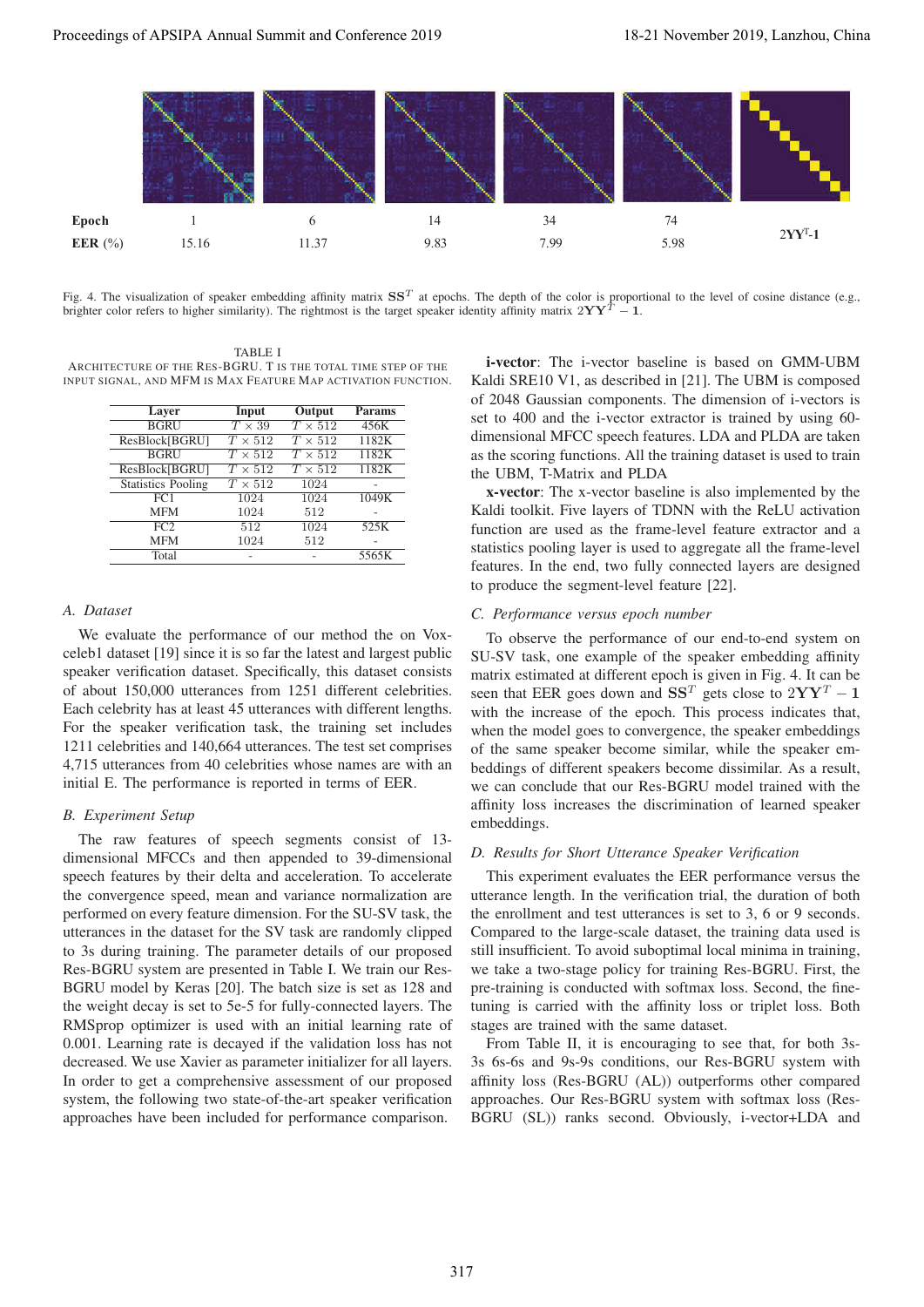

Fig. 4. The visualization of speaker embedding affinity matrix  $SS<sup>T</sup>$  at epochs. The depth of the color is proportional to the level of cosine distance (e.g., brighter color refers to higher similarity). The rightmost is the target speaker identity affinity matrix  $2YY<sup>T</sup> - 1$ .

TABLE I ARCHITECTURE OF THE RES-BGRU. T IS THE TOTAL TIME STEP OF THE INPUT SIGNAL, AND MFM IS MAX FEATURE MAP ACTIVATION FUNCTION.

| Layer                     | Input         | Output         | <b>Params</b> |
|---------------------------|---------------|----------------|---------------|
| <b>BGRU</b>               | $T \times 39$ | $T \times 512$ | 456K          |
| ResBlock[BGRU]            | $T\times 512$ | $T \times 512$ | 1182K         |
| <b>BGRU</b>               | $T\times 512$ | $T\times 512$  | 1182K         |
| ResBlock[BGRU]            | $T\times 512$ | $T\times 512$  | 1182K         |
| <b>Statistics Pooling</b> | $T\times 512$ | 1024           |               |
| FC1                       | 1024          | 1024           | 1049K         |
| <b>MFM</b>                | 1024          | 512            |               |
| FC2                       | 512           | 1024           | 525K          |
| <b>MFM</b>                | 1024          | 512            |               |
| Total                     |               |                | 5565K         |

## *A. Dataset*

We evaluate the performance of our method the on Voxceleb1 dataset [19] since it is so far the latest and largest public speaker verification dataset. Specifically, this dataset consists of about 150,000 utterances from 1251 different celebrities. Each celebrity has at least 45 utterances with different lengths. For the speaker verification task, the training set includes 1211 celebrities and 140,664 utterances. The test set comprises 4,715 utterances from 40 celebrities whose names are with an initial E. The performance is reported in terms of EER.

## *B. Experiment Setup*

The raw features of speech segments consist of 13 dimensional MFCCs and then appended to 39-dimensional speech features by their delta and acceleration. To accelerate the convergence speed, mean and variance normalization are performed on every feature dimension. For the SU-SV task, the utterances in the dataset for the SV task are randomly clipped to 3s during training. The parameter details of our proposed Res-BGRU system are presented in Table I. We train our Res-BGRU model by Keras [20]. The batch size is set as 128 and the weight decay is set to 5e-5 for fully-connected layers. The RMSprop optimizer is used with an initial learning rate of 0.001. Learning rate is decayed if the validation loss has not decreased. We use Xavier as parameter initializer for all layers. In order to get a comprehensive assessment of our proposed system, the following two state-of-the-art speaker verification approaches have been included for performance comparison.

i-vector: The i-vector baseline is based on GMM-UBM Kaldi SRE10 V1, as described in [21]. The UBM is composed of 2048 Gaussian components. The dimension of i-vectors is set to 400 and the i-vector extractor is trained by using 60 dimensional MFCC speech features. LDA and PLDA are taken as the scoring functions. All the training dataset is used to train the UBM, T-Matrix and PLDA

x-vector: The x-vector baseline is also implemented by the Kaldi toolkit. Five layers of TDNN with the ReLU activation function are used as the frame-level feature extractor and a statistics pooling layer is used to aggregate all the frame-level features. In the end, two fully connected layers are designed to produce the segment-level feature [22].

## *C. Performance versus epoch number*

To observe the performance of our end-to-end system on SU-SV task, one example of the speaker embedding affinity matrix estimated at different epoch is given in Fig. 4. It can be seen that EER goes down and  $SS<sup>T</sup>$  gets close to  $2YY<sup>T</sup> - 1$ with the increase of the epoch. This process indicates that, when the model goes to convergence, the speaker embeddings of the same speaker become similar, while the speaker embeddings of different speakers become dissimilar. As a result, we can conclude that our Res-BGRU model trained with the affinity loss increases the discrimination of learned speaker embeddings.

#### *D. Results for Short Utterance Speaker Verification*

This experiment evaluates the EER performance versus the utterance length. In the verification trial, the duration of both the enrollment and test utterances is set to 3, 6 or 9 seconds. Compared to the large-scale dataset, the training data used is still insufficient. To avoid suboptimal local minima in training, we take a two-stage policy for training Res-BGRU. First, the pre-training is conducted with softmax loss. Second, the finetuning is carried with the affinity loss or triplet loss. Both stages are trained with the same dataset.

From Table II, it is encouraging to see that, for both 3s-3s 6s-6s and 9s-9s conditions, our Res-BGRU system with affinity loss (Res-BGRU (AL)) outperforms other compared approaches. Our Res-BGRU system with softmax loss (Res-BGRU (SL)) ranks second. Obviously, i-vector+LDA and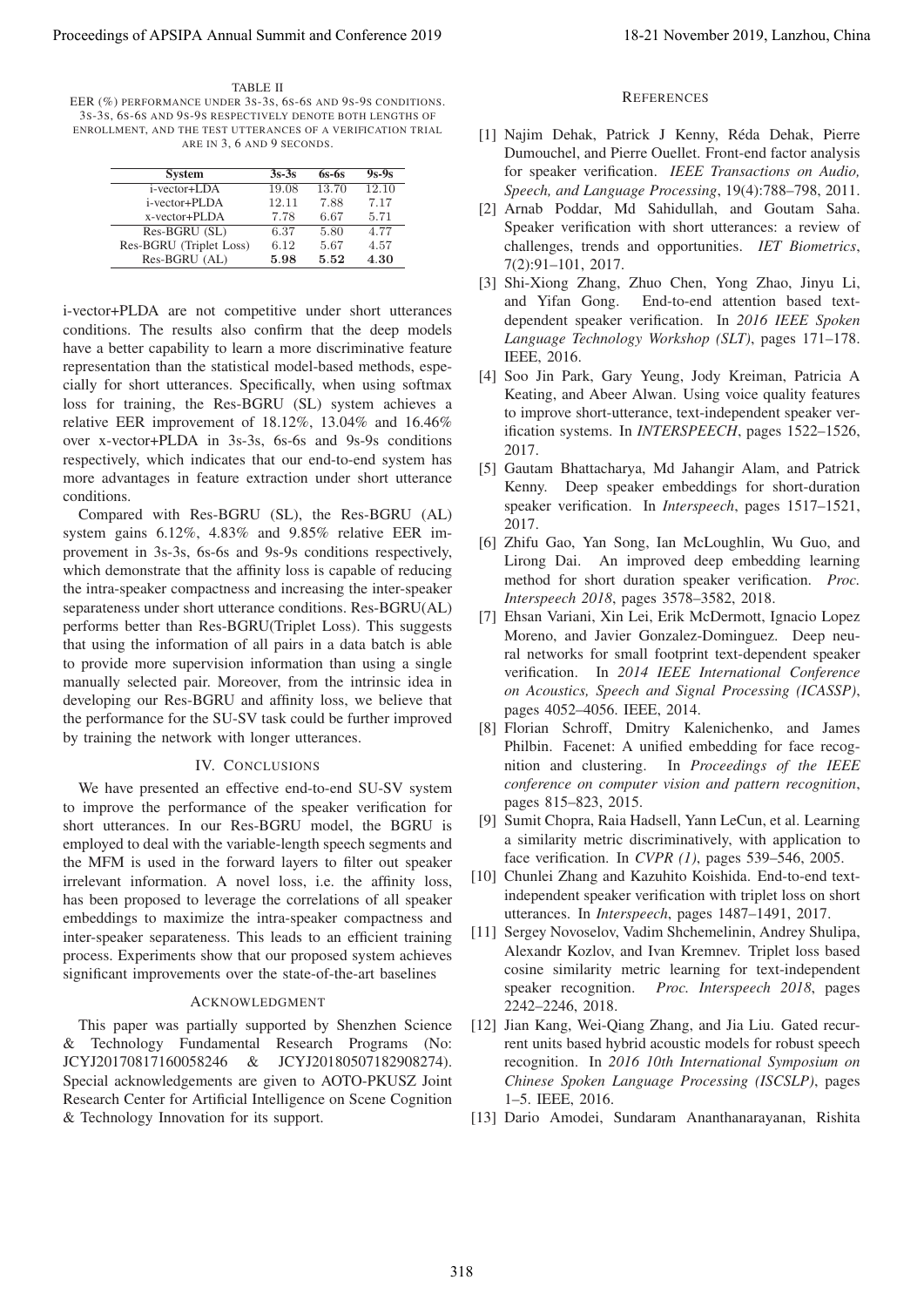#### TABLE II

EER (%) PERFORMANCE UNDER 3S-3S, 6S-6S AND 9S-9S CONDITIONS. 3S-3S, 6S-6S AND 9S-9S RESPECTIVELY DENOTE BOTH LENGTHS OF ENROLLMENT, AND THE TEST UTTERANCES OF A VERIFICATION TRIAL ARE IN 3, 6 AND 9 SECONDS.

| <b>System</b>           | $3s-3s$ | 6s-6s | $9s-9s$ |
|-------------------------|---------|-------|---------|
| i-vector+LDA            | 19.08   | 13.70 | 12.10   |
| i-vector+PLDA           | 12.11   | 7.88  | 7.17    |
| x-vector+PLDA           | 7.78    | 6.67  | 5.71    |
| Res-BGRU (SL)           | 6.37    | 5.80  | 4.77    |
| Res-BGRU (Triplet Loss) | 6.12    | 5.67  | 4.57    |
| Res-BGRU (AL)           | 5.98    | 5.52  | 4.30    |

i-vector+PLDA are not competitive under short utterances conditions. The results also confirm that the deep models have a better capability to learn a more discriminative feature representation than the statistical model-based methods, especially for short utterances. Specifically, when using softmax loss for training, the Res-BGRU (SL) system achieves a relative EER improvement of 18.12%, 13.04% and 16.46% over x-vector+PLDA in 3s-3s, 6s-6s and 9s-9s conditions respectively, which indicates that our end-to-end system has more advantages in feature extraction under short utterance conditions.

Compared with Res-BGRU (SL), the Res-BGRU (AL) system gains 6.12%, 4.83% and 9.85% relative EER improvement in 3s-3s, 6s-6s and 9s-9s conditions respectively, which demonstrate that the affinity loss is capable of reducing the intra-speaker compactness and increasing the inter-speaker separateness under short utterance conditions. Res-BGRU(AL) performs better than Res-BGRU(Triplet Loss). This suggests that using the information of all pairs in a data batch is able to provide more supervision information than using a single manually selected pair. Moreover, from the intrinsic idea in developing our Res-BGRU and affinity loss, we believe that the performance for the SU-SV task could be further improved by training the network with longer utterances. Proceeding of APSIPA Annual Summit at Co-Co-co-2019 18-21 November 2019 18-22 November 2019, Revise of APSIPA Annual Summit and Conference 2019 18-22 November 2019, Revise of APSIPA Annual Summit and Conference 2019, Revi

#### IV. CONCLUSIONS

We have presented an effective end-to-end SU-SV system to improve the performance of the speaker verification for short utterances. In our Res-BGRU model, the BGRU is employed to deal with the variable-length speech segments and the MFM is used in the forward layers to filter out speaker irrelevant information. A novel loss, i.e. the affinity loss, has been proposed to leverage the correlations of all speaker embeddings to maximize the intra-speaker compactness and inter-speaker separateness. This leads to an efficient training process. Experiments show that our proposed system achieves significant improvements over the state-of-the-art baselines

## ACKNOWLEDGMENT

This paper was partially supported by Shenzhen Science & Technology Fundamental Research Programs (No: JCYJ20170817160058246 & JCYJ20180507182908274). Special acknowledgements are given to AOTO-PKUSZ Joint Research Center for Artificial Intelligence on Scene Cognition & Technology Innovation for its support.

#### **REFERENCES**

- [1] Najim Dehak, Patrick J Kenny, Réda Dehak, Pierre Dumouchel, and Pierre Ouellet. Front-end factor analysis for speaker verification. *IEEE Transactions on Audio, Speech, and Language Processing*, 19(4):788–798, 2011.
- [2] Arnab Poddar, Md Sahidullah, and Goutam Saha. Speaker verification with short utterances: a review of challenges, trends and opportunities. *IET Biometrics*, 7(2):91–101, 2017.
- [3] Shi-Xiong Zhang, Zhuo Chen, Yong Zhao, Jinyu Li, and Yifan Gong. End-to-end attention based textdependent speaker verification. In *2016 IEEE Spoken Language Technology Workshop (SLT)*, pages 171–178. IEEE, 2016.
- [4] Soo Jin Park, Gary Yeung, Jody Kreiman, Patricia A Keating, and Abeer Alwan. Using voice quality features to improve short-utterance, text-independent speaker verification systems. In *INTERSPEECH*, pages 1522–1526, 2017.
- [5] Gautam Bhattacharya, Md Jahangir Alam, and Patrick Kenny. Deep speaker embeddings for short-duration speaker verification. In *Interspeech*, pages 1517–1521, 2017.
- [6] Zhifu Gao, Yan Song, Ian McLoughlin, Wu Guo, and Lirong Dai. An improved deep embedding learning method for short duration speaker verification. *Proc. Interspeech 2018*, pages 3578–3582, 2018.
- [7] Ehsan Variani, Xin Lei, Erik McDermott, Ignacio Lopez Moreno, and Javier Gonzalez-Dominguez. Deep neural networks for small footprint text-dependent speaker verification. In *2014 IEEE International Conference on Acoustics, Speech and Signal Processing (ICASSP)*, pages 4052–4056. IEEE, 2014.
- [8] Florian Schroff, Dmitry Kalenichenko, and James Philbin. Facenet: A unified embedding for face recognition and clustering. In *Proceedings of the IEEE conference on computer vision and pattern recognition*, pages 815–823, 2015.
- [9] Sumit Chopra, Raia Hadsell, Yann LeCun, et al. Learning a similarity metric discriminatively, with application to face verification. In *CVPR (1)*, pages 539–546, 2005.
- [10] Chunlei Zhang and Kazuhito Koishida. End-to-end textindependent speaker verification with triplet loss on short utterances. In *Interspeech*, pages 1487–1491, 2017.
- [11] Sergey Novoselov, Vadim Shchemelinin, Andrey Shulipa, Alexandr Kozlov, and Ivan Kremnev. Triplet loss based cosine similarity metric learning for text-independent speaker recognition. *Proc. Interspeech 2018*, pages 2242–2246, 2018.
- [12] Jian Kang, Wei-Qiang Zhang, and Jia Liu. Gated recurrent units based hybrid acoustic models for robust speech recognition. In *2016 10th International Symposium on Chinese Spoken Language Processing (ISCSLP)*, pages 1–5. IEEE, 2016.
- [13] Dario Amodei, Sundaram Ananthanarayanan, Rishita